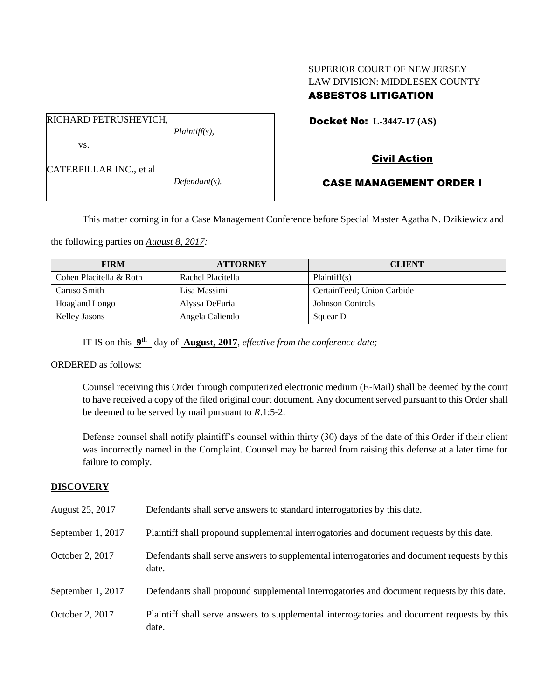## SUPERIOR COURT OF NEW JERSEY LAW DIVISION: MIDDLESEX COUNTY ASBESTOS LITIGATION

Docket No: **L-3447-17 (AS)** 

vs.

CATERPILLAR INC., et al

RICHARD PETRUSHEVICH,

*Defendant(s).*

*Plaintiff(s),*

# Civil Action

## CASE MANAGEMENT ORDER I

This matter coming in for a Case Management Conference before Special Master Agatha N. Dzikiewicz and

the following parties on *August 8, 2017:*

| <b>FIRM</b>             | <b>ATTORNEY</b>   | <b>CLIENT</b>              |
|-------------------------|-------------------|----------------------------|
| Cohen Placitella & Roth | Rachel Placitella | Plaintiff(s)               |
| Caruso Smith            | Lisa Massimi      | CertainTeed; Union Carbide |
| Hoagland Longo          | Alyssa DeFuria    | <b>Johnson Controls</b>    |
| Kelley Jasons           | Angela Caliendo   | Squear D                   |

IT IS on this  $9<sup>th</sup>$  day of **August, 2017**, *effective from the conference date*;

ORDERED as follows:

Counsel receiving this Order through computerized electronic medium (E-Mail) shall be deemed by the court to have received a copy of the filed original court document. Any document served pursuant to this Order shall be deemed to be served by mail pursuant to *R*.1:5-2.

Defense counsel shall notify plaintiff's counsel within thirty (30) days of the date of this Order if their client was incorrectly named in the Complaint. Counsel may be barred from raising this defense at a later time for failure to comply.

### **DISCOVERY**

| August 25, 2017   | Defendants shall serve answers to standard interrogatories by this date.                              |
|-------------------|-------------------------------------------------------------------------------------------------------|
| September 1, 2017 | Plaintiff shall propound supplemental interrogatories and document requests by this date.             |
| October 2, 2017   | Defendants shall serve answers to supplemental interrogatories and document requests by this<br>date. |
| September 1, 2017 | Defendants shall propound supplemental interrogatories and document requests by this date.            |
| October 2, 2017   | Plaintiff shall serve answers to supplemental interrogatories and document requests by this<br>date.  |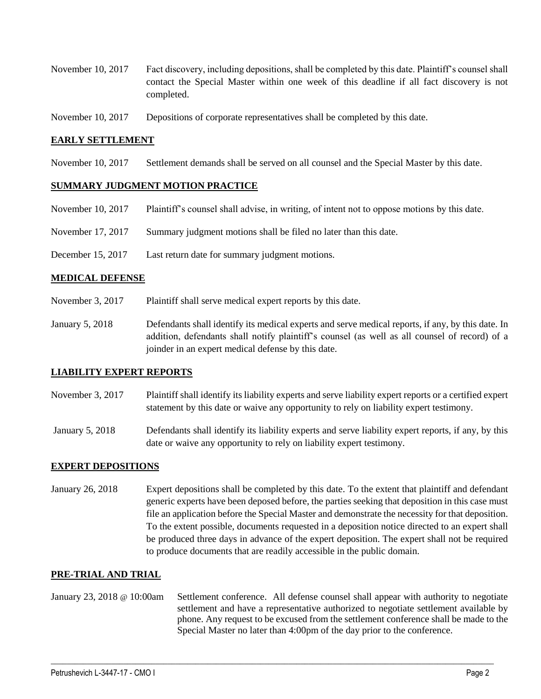- November 10, 2017 Fact discovery, including depositions, shall be completed by this date. Plaintiff's counsel shall contact the Special Master within one week of this deadline if all fact discovery is not completed.
- November 10, 2017 Depositions of corporate representatives shall be completed by this date.

### **EARLY SETTLEMENT**

November 10, 2017 Settlement demands shall be served on all counsel and the Special Master by this date.

### **SUMMARY JUDGMENT MOTION PRACTICE**

- November 10, 2017 Plaintiff's counsel shall advise, in writing, of intent not to oppose motions by this date.
- November 17, 2017 Summary judgment motions shall be filed no later than this date.
- December 15, 2017 Last return date for summary judgment motions.

#### **MEDICAL DEFENSE**

- November 3, 2017 Plaintiff shall serve medical expert reports by this date.
- January 5, 2018 Defendants shall identify its medical experts and serve medical reports, if any, by this date. In addition, defendants shall notify plaintiff's counsel (as well as all counsel of record) of a joinder in an expert medical defense by this date.

### **LIABILITY EXPERT REPORTS**

- November 3, 2017 Plaintiff shall identify its liability experts and serve liability expert reports or a certified expert statement by this date or waive any opportunity to rely on liability expert testimony.
- January 5, 2018 Defendants shall identify its liability experts and serve liability expert reports, if any, by this date or waive any opportunity to rely on liability expert testimony.

### **EXPERT DEPOSITIONS**

January 26, 2018 Expert depositions shall be completed by this date. To the extent that plaintiff and defendant generic experts have been deposed before, the parties seeking that deposition in this case must file an application before the Special Master and demonstrate the necessity for that deposition. To the extent possible, documents requested in a deposition notice directed to an expert shall be produced three days in advance of the expert deposition. The expert shall not be required to produce documents that are readily accessible in the public domain.

### **PRE-TRIAL AND TRIAL**

January 23, 2018 @ 10:00am Settlement conference. All defense counsel shall appear with authority to negotiate settlement and have a representative authorized to negotiate settlement available by phone. Any request to be excused from the settlement conference shall be made to the Special Master no later than 4:00pm of the day prior to the conference.

 $\_$  ,  $\_$  ,  $\_$  ,  $\_$  ,  $\_$  ,  $\_$  ,  $\_$  ,  $\_$  ,  $\_$  ,  $\_$  ,  $\_$  ,  $\_$  ,  $\_$  ,  $\_$  ,  $\_$  ,  $\_$  ,  $\_$  ,  $\_$  ,  $\_$  ,  $\_$  ,  $\_$  ,  $\_$  ,  $\_$  ,  $\_$  ,  $\_$  ,  $\_$  ,  $\_$  ,  $\_$  ,  $\_$  ,  $\_$  ,  $\_$  ,  $\_$  ,  $\_$  ,  $\_$  ,  $\_$  ,  $\_$  ,  $\_$  ,